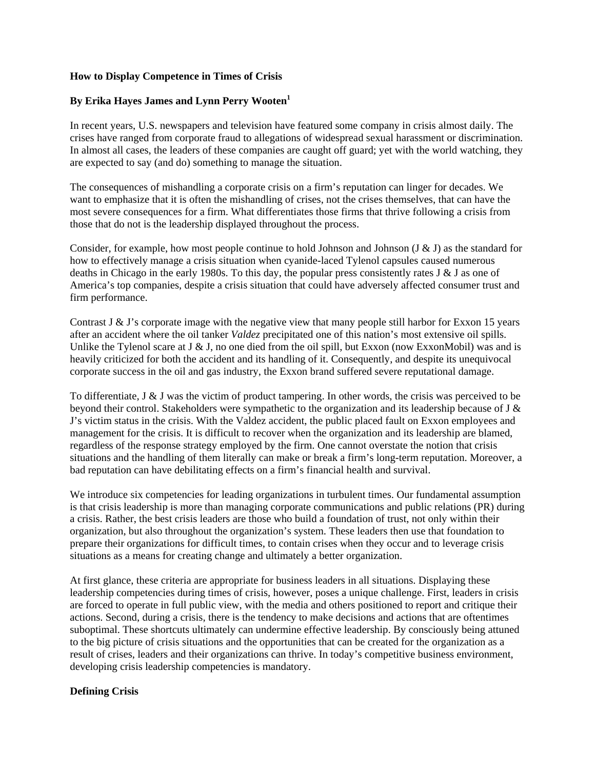### **How to Display Competence in Times of Crisis**

### **By Erika Hayes James and Lynn Perry Wooten<sup>1</sup>**

In recent years, U.S. newspapers and television have featured some company in crisis almost daily. The crises have ranged from corporate fraud to allegations of widespread sexual harassment or discrimination. In almost all cases, the leaders of these companies are caught off guard; yet with the world watching, they are expected to say (and do) something to manage the situation.

The consequences of mishandling a corporate crisis on a firm's reputation can linger for decades. We want to emphasize that it is often the mishandling of crises, not the crises themselves, that can have the most severe consequences for a firm. What differentiates those firms that thrive following a crisis from those that do not is the leadership displayed throughout the process.

Consider, for example, how most people continue to hold Johnson and Johnson  $(\mathbf{J} \& \mathbf{J})$  as the standard for how to effectively manage a crisis situation when cyanide-laced Tylenol capsules caused numerous deaths in Chicago in the early 1980s. To this day, the popular press consistently rates J & J as one of America's top companies, despite a crisis situation that could have adversely affected consumer trust and firm performance.

Contrast J  $\&$  J's corporate image with the negative view that many people still harbor for Exxon 15 years after an accident where the oil tanker *Valdez* precipitated one of this nation's most extensive oil spills. Unlike the Tylenol scare at  $J \& J$ , no one died from the oil spill, but Exxon (now ExxonMobil) was and is heavily criticized for both the accident and its handling of it. Consequently, and despite its unequivocal corporate success in the oil and gas industry, the Exxon brand suffered severe reputational damage.

To differentiate,  $J \& J$  was the victim of product tampering. In other words, the crisis was perceived to be beyond their control. Stakeholders were sympathetic to the organization and its leadership because of J & J's victim status in the crisis. With the Valdez accident, the public placed fault on Exxon employees and management for the crisis. It is difficult to recover when the organization and its leadership are blamed, regardless of the response strategy employed by the firm. One cannot overstate the notion that crisis situations and the handling of them literally can make or break a firm's long-term reputation. Moreover, a bad reputation can have debilitating effects on a firm's financial health and survival.

We introduce six competencies for leading organizations in turbulent times. Our fundamental assumption is that crisis leadership is more than managing corporate communications and public relations (PR) during a crisis. Rather, the best crisis leaders are those who build a foundation of trust, not only within their organization, but also throughout the organization's system. These leaders then use that foundation to prepare their organizations for difficult times, to contain crises when they occur and to leverage crisis situations as a means for creating change and ultimately a better organization.

At first glance, these criteria are appropriate for business leaders in all situations. Displaying these leadership competencies during times of crisis, however, poses a unique challenge. First, leaders in crisis are forced to operate in full public view, with the media and others positioned to report and critique their actions. Second, during a crisis, there is the tendency to make decisions and actions that are oftentimes suboptimal. These shortcuts ultimately can undermine effective leadership. By consciously being attuned to the big picture of crisis situations and the opportunities that can be created for the organization as a result of crises, leaders and their organizations can thrive. In today's competitive business environment, developing crisis leadership competencies is mandatory.

#### **Defining Crisis**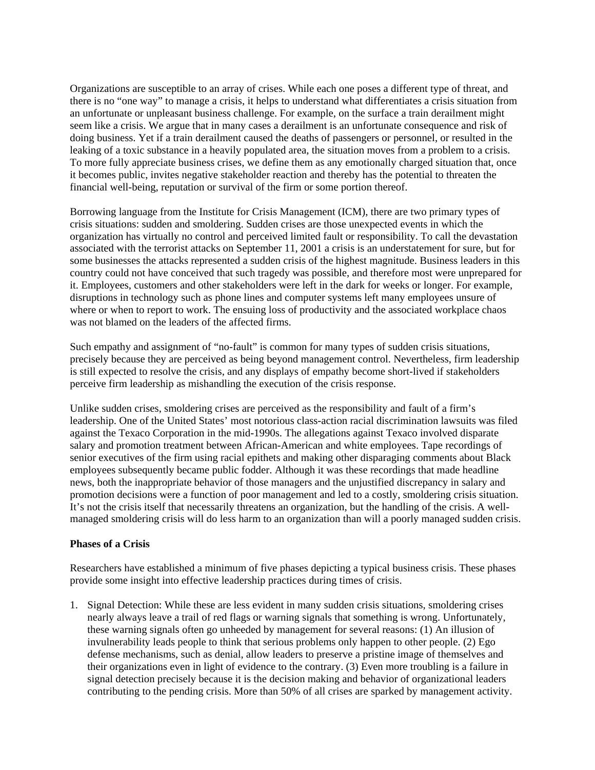Organizations are susceptible to an array of crises. While each one poses a different type of threat, and there is no "one way" to manage a crisis, it helps to understand what differentiates a crisis situation from an unfortunate or unpleasant business challenge. For example, on the surface a train derailment might seem like a crisis. We argue that in many cases a derailment is an unfortunate consequence and risk of doing business. Yet if a train derailment caused the deaths of passengers or personnel, or resulted in the leaking of a toxic substance in a heavily populated area, the situation moves from a problem to a crisis. To more fully appreciate business crises, we define them as any emotionally charged situation that, once it becomes public, invites negative stakeholder reaction and thereby has the potential to threaten the financial well-being, reputation or survival of the firm or some portion thereof.

Borrowing language from the Institute for Crisis Management (ICM), there are two primary types of crisis situations: sudden and smoldering. Sudden crises are those unexpected events in which the organization has virtually no control and perceived limited fault or responsibility. To call the devastation associated with the terrorist attacks on September 11, 2001 a crisis is an understatement for sure, but for some businesses the attacks represented a sudden crisis of the highest magnitude. Business leaders in this country could not have conceived that such tragedy was possible, and therefore most were unprepared for it. Employees, customers and other stakeholders were left in the dark for weeks or longer. For example, disruptions in technology such as phone lines and computer systems left many employees unsure of where or when to report to work. The ensuing loss of productivity and the associated workplace chaos was not blamed on the leaders of the affected firms.

Such empathy and assignment of "no-fault" is common for many types of sudden crisis situations, precisely because they are perceived as being beyond management control. Nevertheless, firm leadership is still expected to resolve the crisis, and any displays of empathy become short-lived if stakeholders perceive firm leadership as mishandling the execution of the crisis response.

Unlike sudden crises, smoldering crises are perceived as the responsibility and fault of a firm's leadership. One of the United States' most notorious class-action racial discrimination lawsuits was filed against the Texaco Corporation in the mid-1990s. The allegations against Texaco involved disparate salary and promotion treatment between African-American and white employees. Tape recordings of senior executives of the firm using racial epithets and making other disparaging comments about Black employees subsequently became public fodder. Although it was these recordings that made headline news, both the inappropriate behavior of those managers and the unjustified discrepancy in salary and promotion decisions were a function of poor management and led to a costly, smoldering crisis situation. It's not the crisis itself that necessarily threatens an organization, but the handling of the crisis. A wellmanaged smoldering crisis will do less harm to an organization than will a poorly managed sudden crisis.

#### **Phases of a Crisis**

Researchers have established a minimum of five phases depicting a typical business crisis. These phases provide some insight into effective leadership practices during times of crisis.

1. Signal Detection: While these are less evident in many sudden crisis situations, smoldering crises nearly always leave a trail of red flags or warning signals that something is wrong. Unfortunately, these warning signals often go unheeded by management for several reasons: (1) An illusion of invulnerability leads people to think that serious problems only happen to other people. (2) Ego defense mechanisms, such as denial, allow leaders to preserve a pristine image of themselves and their organizations even in light of evidence to the contrary. (3) Even more troubling is a failure in signal detection precisely because it is the decision making and behavior of organizational leaders contributing to the pending crisis. More than 50% of all crises are sparked by management activity.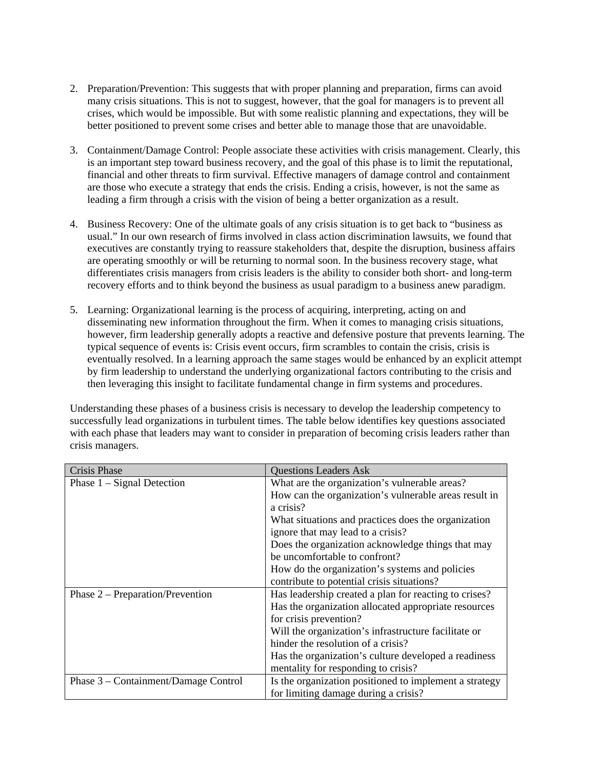- 2. Preparation/Prevention: This suggests that with proper planning and preparation, firms can avoid many crisis situations. This is not to suggest, however, that the goal for managers is to prevent all crises, which would be impossible. But with some realistic planning and expectations, they will be better positioned to prevent some crises and better able to manage those that are unavoidable.
- 3. Containment/Damage Control: People associate these activities with crisis management. Clearly, this is an important step toward business recovery, and the goal of this phase is to limit the reputational, financial and other threats to firm survival. Effective managers of damage control and containment are those who execute a strategy that ends the crisis. Ending a crisis, however, is not the same as leading a firm through a crisis with the vision of being a better organization as a result.
- 4. Business Recovery: One of the ultimate goals of any crisis situation is to get back to "business as usual." In our own research of firms involved in class action discrimination lawsuits, we found that executives are constantly trying to reassure stakeholders that, despite the disruption, business affairs are operating smoothly or will be returning to normal soon. In the business recovery stage, what differentiates crisis managers from crisis leaders is the ability to consider both short- and long-term recovery efforts and to think beyond the business as usual paradigm to a business anew paradigm.
- 5. Learning: Organizational learning is the process of acquiring, interpreting, acting on and disseminating new information throughout the firm. When it comes to managing crisis situations, however, firm leadership generally adopts a reactive and defensive posture that prevents learning. The typical sequence of events is: Crisis event occurs, firm scrambles to contain the crisis, crisis is eventually resolved. In a learning approach the same stages would be enhanced by an explicit attempt by firm leadership to understand the underlying organizational factors contributing to the crisis and then leveraging this insight to facilitate fundamental change in firm systems and procedures.

Understanding these phases of a business crisis is necessary to develop the leadership competency to successfully lead organizations in turbulent times. The table below identifies key questions associated with each phase that leaders may want to consider in preparation of becoming crisis leaders rather than crisis managers.

| <b>Crisis Phase</b>                  | <b>Questions Leaders Ask</b>                           |
|--------------------------------------|--------------------------------------------------------|
| Phase $1 - Signal Detection$         | What are the organization's vulnerable areas?          |
|                                      | How can the organization's vulnerable areas result in  |
|                                      | a crisis?                                              |
|                                      | What situations and practices does the organization    |
|                                      | ignore that may lead to a crisis?                      |
|                                      | Does the organization acknowledge things that may      |
|                                      | be uncomfortable to confront?                          |
|                                      | How do the organization's systems and policies         |
|                                      | contribute to potential crisis situations?             |
| Phase 2 – Preparation/Prevention     | Has leadership created a plan for reacting to crises?  |
|                                      | Has the organization allocated appropriate resources   |
|                                      | for crisis prevention?                                 |
|                                      | Will the organization's infrastructure facilitate or   |
|                                      | hinder the resolution of a crisis?                     |
|                                      | Has the organization's culture developed a readiness   |
|                                      | mentality for responding to crisis?                    |
| Phase 3 – Containment/Damage Control | Is the organization positioned to implement a strategy |
|                                      | for limiting damage during a crisis?                   |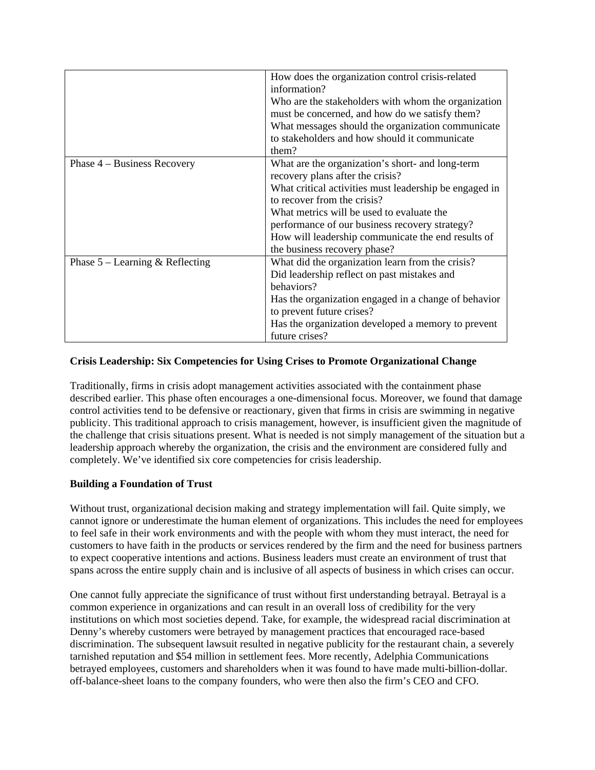|                                   | How does the organization control crisis-related<br>information?<br>Who are the stakeholders with whom the organization<br>must be concerned, and how do we satisfy them?<br>What messages should the organization communicate<br>to stakeholders and how should it communicate<br>them?                                                                           |
|-----------------------------------|--------------------------------------------------------------------------------------------------------------------------------------------------------------------------------------------------------------------------------------------------------------------------------------------------------------------------------------------------------------------|
| Phase $4 - B$ usiness Recovery    | What are the organization's short- and long-term<br>recovery plans after the crisis?<br>What critical activities must leadership be engaged in<br>to recover from the crisis?<br>What metrics will be used to evaluate the<br>performance of our business recovery strategy?<br>How will leadership communicate the end results of<br>the business recovery phase? |
| Phase $5$ – Learning & Reflecting | What did the organization learn from the crisis?<br>Did leadership reflect on past mistakes and<br>behaviors?<br>Has the organization engaged in a change of behavior<br>to prevent future crises?<br>Has the organization developed a memory to prevent<br>future crises?                                                                                         |

# **Crisis Leadership: Six Competencies for Using Crises to Promote Organizational Change**

Traditionally, firms in crisis adopt management activities associated with the containment phase described earlier. This phase often encourages a one-dimensional focus. Moreover, we found that damage control activities tend to be defensive or reactionary, given that firms in crisis are swimming in negative publicity. This traditional approach to crisis management, however, is insufficient given the magnitude of the challenge that crisis situations present. What is needed is not simply management of the situation but a leadership approach whereby the organization, the crisis and the environment are considered fully and completely. We've identified six core competencies for crisis leadership.

# **Building a Foundation of Trust**

Without trust, organizational decision making and strategy implementation will fail. Quite simply, we cannot ignore or underestimate the human element of organizations. This includes the need for employees to feel safe in their work environments and with the people with whom they must interact, the need for customers to have faith in the products or services rendered by the firm and the need for business partners to expect cooperative intentions and actions. Business leaders must create an environment of trust that spans across the entire supply chain and is inclusive of all aspects of business in which crises can occur.

One cannot fully appreciate the significance of trust without first understanding betrayal. Betrayal is a common experience in organizations and can result in an overall loss of credibility for the very institutions on which most societies depend. Take, for example, the widespread racial discrimination at Denny's whereby customers were betrayed by management practices that encouraged race-based discrimination. The subsequent lawsuit resulted in negative publicity for the restaurant chain, a severely tarnished reputation and \$54 million in settlement fees. More recently, Adelphia Communications betrayed employees, customers and shareholders when it was found to have made multi-billion-dollar. off-balance-sheet loans to the company founders, who were then also the firm's CEO and CFO.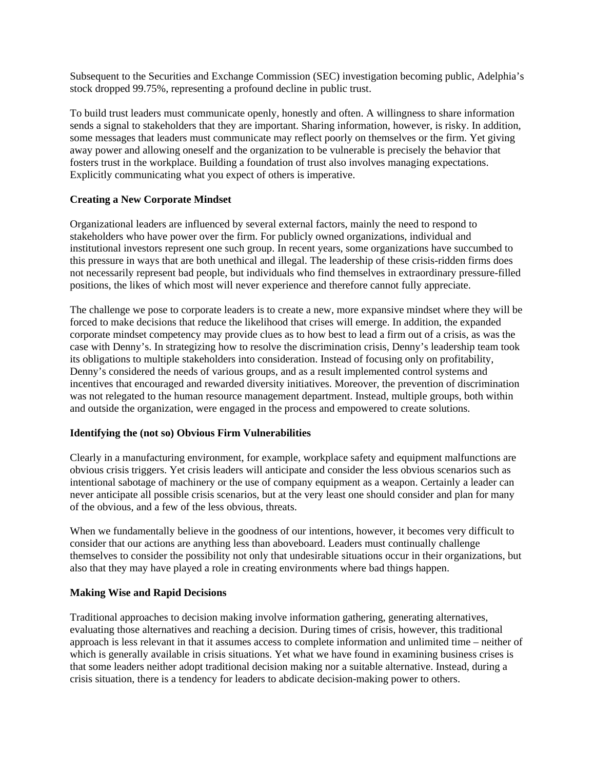Subsequent to the Securities and Exchange Commission (SEC) investigation becoming public, Adelphia's stock dropped 99.75%, representing a profound decline in public trust.

To build trust leaders must communicate openly, honestly and often. A willingness to share information sends a signal to stakeholders that they are important. Sharing information, however, is risky. In addition, some messages that leaders must communicate may reflect poorly on themselves or the firm. Yet giving away power and allowing oneself and the organization to be vulnerable is precisely the behavior that fosters trust in the workplace. Building a foundation of trust also involves managing expectations. Explicitly communicating what you expect of others is imperative.

### **Creating a New Corporate Mindset**

Organizational leaders are influenced by several external factors, mainly the need to respond to stakeholders who have power over the firm. For publicly owned organizations, individual and institutional investors represent one such group. In recent years, some organizations have succumbed to this pressure in ways that are both unethical and illegal. The leadership of these crisis-ridden firms does not necessarily represent bad people, but individuals who find themselves in extraordinary pressure-filled positions, the likes of which most will never experience and therefore cannot fully appreciate.

The challenge we pose to corporate leaders is to create a new, more expansive mindset where they will be forced to make decisions that reduce the likelihood that crises will emerge. In addition, the expanded corporate mindset competency may provide clues as to how best to lead a firm out of a crisis, as was the case with Denny's. In strategizing how to resolve the discrimination crisis, Denny's leadership team took its obligations to multiple stakeholders into consideration. Instead of focusing only on profitability, Denny's considered the needs of various groups, and as a result implemented control systems and incentives that encouraged and rewarded diversity initiatives. Moreover, the prevention of discrimination was not relegated to the human resource management department. Instead, multiple groups, both within and outside the organization, were engaged in the process and empowered to create solutions.

# **Identifying the (not so) Obvious Firm Vulnerabilities**

Clearly in a manufacturing environment, for example, workplace safety and equipment malfunctions are obvious crisis triggers. Yet crisis leaders will anticipate and consider the less obvious scenarios such as intentional sabotage of machinery or the use of company equipment as a weapon. Certainly a leader can never anticipate all possible crisis scenarios, but at the very least one should consider and plan for many of the obvious, and a few of the less obvious, threats.

When we fundamentally believe in the goodness of our intentions, however, it becomes very difficult to consider that our actions are anything less than aboveboard. Leaders must continually challenge themselves to consider the possibility not only that undesirable situations occur in their organizations, but also that they may have played a role in creating environments where bad things happen.

### **Making Wise and Rapid Decisions**

Traditional approaches to decision making involve information gathering, generating alternatives, evaluating those alternatives and reaching a decision. During times of crisis, however, this traditional approach is less relevant in that it assumes access to complete information and unlimited time – neither of which is generally available in crisis situations. Yet what we have found in examining business crises is that some leaders neither adopt traditional decision making nor a suitable alternative. Instead, during a crisis situation, there is a tendency for leaders to abdicate decision-making power to others.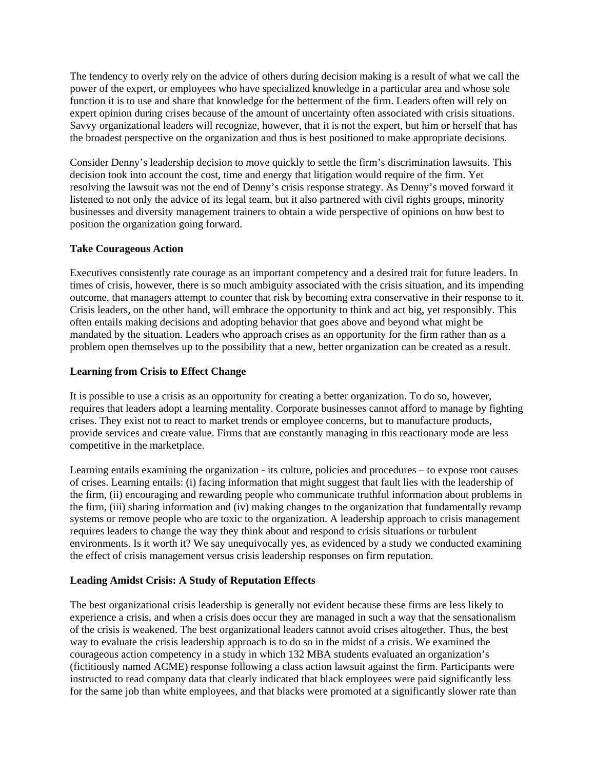The tendency to overly rely on the advice of others during decision making is a result of what we call the power of the expert, or employees who have specialized knowledge in a particular area and whose sole function it is to use and share that knowledge for the betterment of the firm. Leaders often will rely on expert opinion during crises because of the amount of uncertainty often associated with crisis situations. Savvy organizational leaders will recognize, however, that it is not the expert, but him or herself that has the broadest perspective on the organization and thus is best positioned to make appropriate decisions.

Consider Denny's leadership decision to move quickly to settle the firm's discrimination lawsuits. This decision took into account the cost, time and energy that litigation would require of the firm. Yet resolving the lawsuit was not the end of Denny's crisis response strategy. As Denny's moved forward it listened to not only the advice of its legal team, but it also partnered with civil rights groups, minority businesses and diversity management trainers to obtain a wide perspective of opinions on how best to position the organization going forward.

## **Take Courageous Action**

Executives consistently rate courage as an important competency and a desired trait for future leaders. In times of crisis, however, there is so much ambiguity associated with the crisis situation, and its impending outcome, that managers attempt to counter that risk by becoming extra conservative in their response to it. Crisis leaders, on the other hand, will embrace the opportunity to think and act big, yet responsibly. This often entails making decisions and adopting behavior that goes above and beyond what might be mandated by the situation. Leaders who approach crises as an opportunity for the firm rather than as a problem open themselves up to the possibility that a new, better organization can be created as a result.

## **Learning from Crisis to Effect Change**

It is possible to use a crisis as an opportunity for creating a better organization. To do so, however, requires that leaders adopt a learning mentality. Corporate businesses cannot afford to manage by fighting crises. They exist not to react to market trends or employee concerns, but to manufacture products, provide services and create value. Firms that are constantly managing in this reactionary mode are less competitive in the marketplace.

Learning entails examining the organization - its culture, policies and procedures – to expose root causes of crises. Learning entails: (i) facing information that might suggest that fault lies with the leadership of the firm, (ii) encouraging and rewarding people who communicate truthful information about problems in the firm, (iii) sharing information and (iv) making changes to the organization that fundamentally revamp systems or remove people who are toxic to the organization. A leadership approach to crisis management requires leaders to change the way they think about and respond to crisis situations or turbulent environments. Is it worth it? We say unequivocally yes, as evidenced by a study we conducted examining the effect of crisis management versus crisis leadership responses on firm reputation.

### **Leading Amidst Crisis: A Study of Reputation Effects**

The best organizational crisis leadership is generally not evident because these firms are less likely to experience a crisis, and when a crisis does occur they are managed in such a way that the sensationalism of the crisis is weakened. The best organizational leaders cannot avoid crises altogether. Thus, the best way to evaluate the crisis leadership approach is to do so in the midst of a crisis. We examined the courageous action competency in a study in which 132 MBA students evaluated an organization's (fictitiously named ACME) response following a class action lawsuit against the firm. Participants were instructed to read company data that clearly indicated that black employees were paid significantly less for the same job than white employees, and that blacks were promoted at a significantly slower rate than